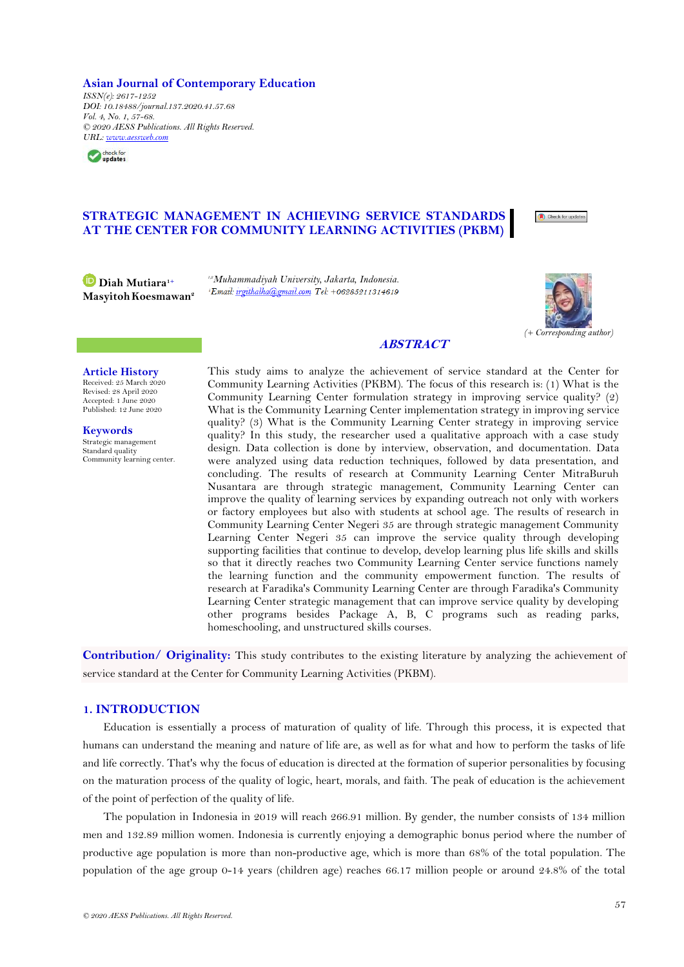#### **Asian Journal of Contemporary Education**

*ISSN(e): 2617-1252 DOI: 10.18488/journal.137.2020.41.57.68 Vol. 4, No. 1, 57-68. © 2020 AESS Publications. All Rights Reserved. URL: [www.aessweb.com](http://www.aessweb.com/)*



# **STRATEGIC MANAGEMENT IN ACHIEVING SERVICE STANDARDS AT THE CENTER FOR COMMUNITY LEARNING ACTIVITIES (PKBM)**

**Diah Mutiara1+ MasyitohKoesmawan<sup>2</sup>** *1,2Muhammadiyah University, Jakarta, Indonesia.*



Check for updates

*(+ Corresponding author)*

# **ABSTRACT**

## **Article History**

Received: 25 March 2020 Revised: 28 April 2020 Accepted: 1 June 2020 Published: 12 June 2020

**Keywords** Strategic management Standard quality Community learning center. This study aims to analyze the achievement of service standard at the Center for Community Learning Activities (PKBM). The focus of this research is: (1) What is the Community Learning Center formulation strategy in improving service quality? (2) What is the Community Learning Center implementation strategy in improving service quality? (3) What is the Community Learning Center strategy in improving service quality? In this study, the researcher used a qualitative approach with a case study design. Data collection is done by interview, observation, and documentation. Data were analyzed using data reduction techniques, followed by data presentation, and concluding. The results of research at Community Learning Center MitraBuruh Nusantara are through strategic management, Community Learning Center can improve the quality of learning services by expanding outreach not only with workers or factory employees but also with students at school age. The results of research in Community Learning Center Negeri 35 are through strategic management Community Learning Center Negeri 35 can improve the service quality through developing supporting facilities that continue to develop, develop learning plus life skills and skills so that it directly reaches two Community Learning Center service functions namely the learning function and the community empowerment function. The results of research at Faradika's Community Learning Center are through Faradika's Community Learning Center strategic management that can improve service quality by developing other programs besides Package A, B, C programs such as reading parks, homeschooling, and unstructured skills courses.

**Contribution/ Originality:** This study contributes to the existing literature by analyzing the achievement of service standard at the Center for Community Learning Activities (PKBM).

## **1. INTRODUCTION**

Education is essentially a process of maturation of quality of life. Through this process, it is expected that humans can understand the meaning and nature of life are, as well as for what and how to perform the tasks of life and life correctly. That's why the focus of education is directed at the formation of superior personalities by focusing on the maturation process of the quality of logic, heart, morals, and faith. The peak of education is the achievement of the point of perfection of the quality of life.

The population in Indonesia in 2019 will reach 266.91 million. By gender, the number consists of 134 million men and 132.89 million women. Indonesia is currently enjoying a demographic bonus period where the number of productive age population is more than non-productive age, which is more than 68% of the total population. The population of the age group 0-14 years (children age) reaches 66.17 million people or around 24.8% of the total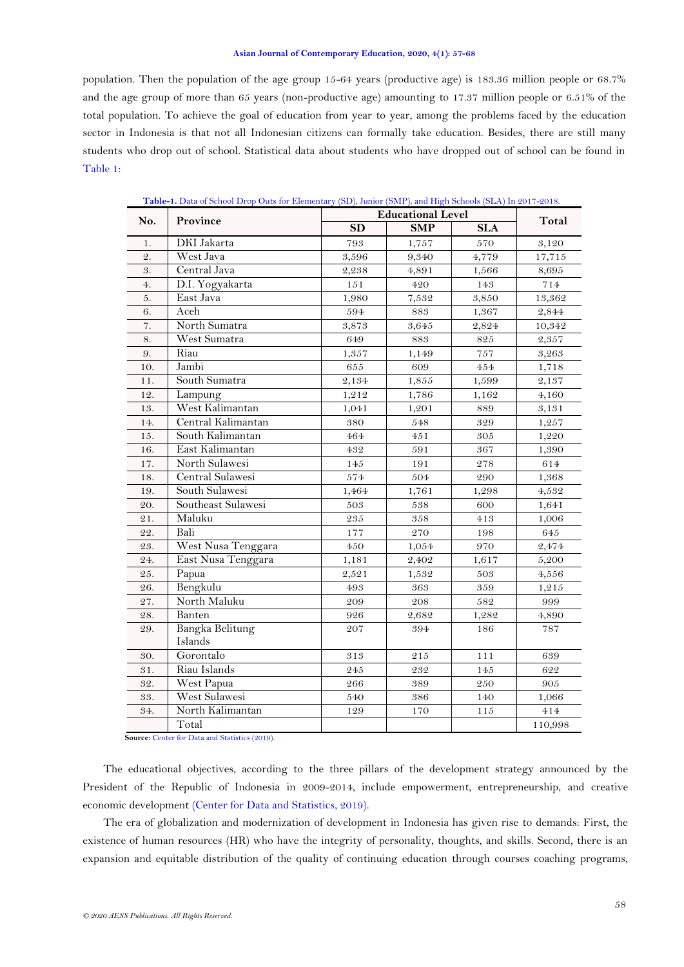population. Then the population of the age group 15-64 years (productive age) is 183.36 million people or 68.7% and the age group of more than 65 years (non-productive age) amounting to 17.37 million people or 6.51% of the total population. To achieve the goal of education from year to year, among the problems faced by the education sector in Indonesia is that not all Indonesian citizens can formally take education. Besides, there are still many students who drop out of school. Statistical data about students who have dropped out of school can be found in [Table 1:](#page-1-0)

<span id="page-1-0"></span>

| No.             | Province                   | <b>Educational Level</b> | Total      |            |         |
|-----------------|----------------------------|--------------------------|------------|------------|---------|
|                 |                            | SD                       | <b>SMP</b> | <b>SLA</b> |         |
| 1.              | DKI Jakarta                | 793                      | 1,757      | 570        | 3,120   |
| $\mathfrak{D}.$ | West Java                  | 3,596                    | 9,340      | 4,779      | 17,715  |
| 3.              | Central Java               | 2,238                    | 4,891      | 1,566      | 8,695   |
| 4.              | D.I. Yogyakarta            | $151\,$                  | 420        | 143        | 714     |
| 5.              | East Java                  | 1,980                    | 7,532      | 3,850      | 13,362  |
| 6.              | Aceh                       | 594                      | 883        | 1,367      | 2,844   |
| 7.              | North Sumatra              | 3,873                    | 3,645      | 2,824      | 10,342  |
| 8.              | West Sumatra               | 649                      | $\bf 883$  | 825        | 2,357   |
| 9.              | Riau                       | 1,357                    | 1,149      | 757        | 3,263   |
| 10.             | Jambi                      | 655                      | 609        | 454        | 1,718   |
| 11.             | South Sumatra              | 2,134                    | 1,855      | 1,599      | 2,137   |
| 12.             | Lampung                    | 1,212                    | 1,786      | 1,162      | 4,160   |
| 13.             | West Kalimantan            | 1,041                    | 1,201      | 889        | 3,131   |
| 14.             | Central Kalimantan         | 380                      | 548        | 329        | 1,257   |
| 15.             | South Kalimantan           | 464                      | 451        | 305        | 1,220   |
| 16.             | East Kalimantan            | 432                      | 591        | 367        | 1,390   |
| 17.             | North Sulawesi             | 145                      | 191        | 278        | 614     |
| 18.             | Central Sulawesi           | 574                      | 504        | 290        | 1,368   |
| 19.             | South Sulawesi             | 1,464                    | 1,761      | 1,298      | 4,532   |
| 20.             | Southeast Sulawesi         | 503                      | 538        | 600        | 1,641   |
| 21.             | Maluku                     | 235                      | 358        | 413        | 1,006   |
| 22.             | Bali                       | 177                      | 270        | 198        | 645     |
| 23.             | West Nusa Tenggara         | 450                      | 1,054      | 970        | 2,474   |
| 24.             | East Nusa Tenggara         | 1,181                    | 2,402      | 1,617      | 5,200   |
| 25.             | Papua                      | 2,521                    | 1,532      | 503        | 4,556   |
| 26.             | Bengkulu                   | 493                      | 363        | 359        | 1,215   |
| 27.             | North Maluku               | 209                      | 208        | 582        | 999     |
| 28.             | Banten                     | 926                      | 2,682      | 1,282      | 4,890   |
| 29.             | Bangka Belitung<br>Islands | 207                      | 394        | 186        | $787\,$ |
| 30.             | Gorontalo                  | 313                      | 215        | 111        | 639     |
| 31.             | Riau Islands               | 245                      | 232        | 145        | 622     |
| 32.             | West Papua                 | 266                      | 389        | 250        | $905\,$ |
| 33.             | West Sulawesi              | 540                      | 386        | 140        | 1,066   |
| 34.             | North Kalimantan           | 129                      | 170        | $1\,1\,5$  | 414     |
|                 | Total                      |                          |            |            | 110,998 |

**Table-1.** Data of School Drop Outs for Elementary (SD), Junior (SMP), and High Schools (SLA) In 2017-2018.

**Source:** [Center for Data and Statistics \(2019\).](#page-11-0)

The educational objectives, according to the three pillars of the development strategy announced by the President of the Republic of Indonesia in 2009-2014, include empowerment, entrepreneurship, and creative economic development [\(Center for Data and Statistics, 2019\)](#page-11-0).

The era of globalization and modernization of development in Indonesia has given rise to demands: First, the existence of human resources (HR) who have the integrity of personality, thoughts, and skills. Second, there is an expansion and equitable distribution of the quality of continuing education through courses coaching programs,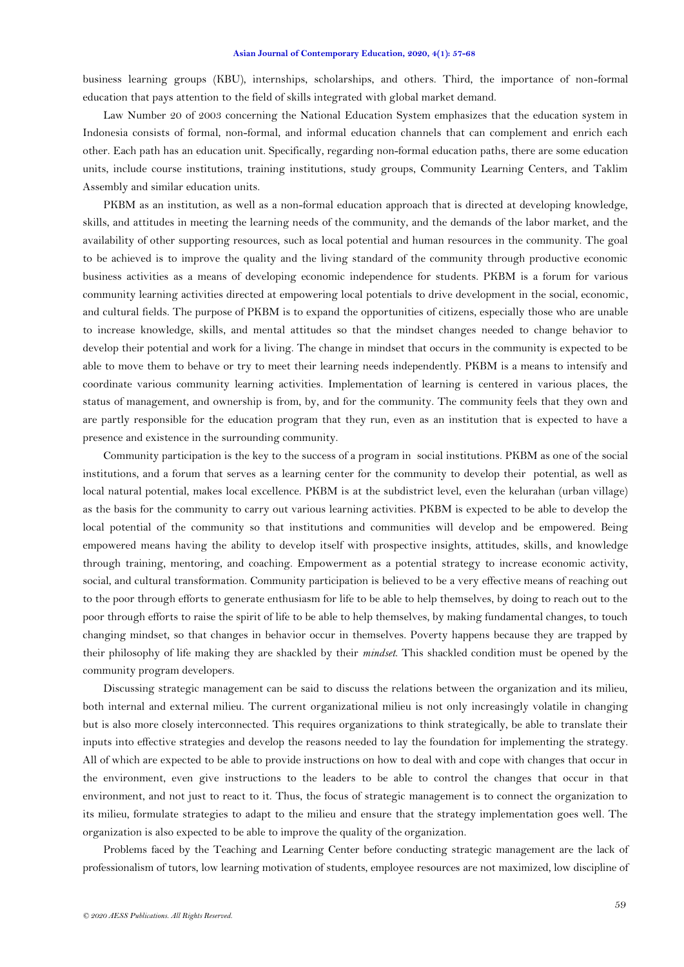business learning groups (KBU), internships, scholarships, and others. Third, the importance of non-formal education that pays attention to the field of skills integrated with global market demand.

Law Number 20 of 2003 concerning the National Education System emphasizes that the education system in Indonesia consists of formal, non-formal, and informal education channels that can complement and enrich each other. Each path has an education unit. Specifically, regarding non-formal education paths, there are some education units, include course institutions, training institutions, study groups, Community Learning Centers, and Taklim Assembly and similar education units.

PKBM as an institution, as well as a non-formal education approach that is directed at developing knowledge, skills, and attitudes in meeting the learning needs of the community, and the demands of the labor market, and the availability of other supporting resources, such as local potential and human resources in the community. The goal to be achieved is to improve the quality and the living standard of the community through productive economic business activities as a means of developing economic independence for students. PKBM is a forum for various community learning activities directed at empowering local potentials to drive development in the social, economic, and cultural fields. The purpose of PKBM is to expand the opportunities of citizens, especially those who are unable to increase knowledge, skills, and mental attitudes so that the mindset changes needed to change behavior to develop their potential and work for a living. The change in mindset that occurs in the community is expected to be able to move them to behave or try to meet their learning needs independently. PKBM is a means to intensify and coordinate various community learning activities. Implementation of learning is centered in various places, the status of management, and ownership is from, by, and for the community. The community feels that they own and are partly responsible for the education program that they run, even as an institution that is expected to have a presence and existence in the surrounding community.

Community participation is the key to the success of a program in social institutions. PKBM as one of the social institutions, and a forum that serves as a learning center for the community to develop their potential, as well as local natural potential, makes local excellence. PKBM is at the subdistrict level, even the kelurahan (urban village) as the basis for the community to carry out various learning activities. PKBM is expected to be able to develop the local potential of the community so that institutions and communities will develop and be empowered. Being empowered means having the ability to develop itself with prospective insights, attitudes, skills, and knowledge through training, mentoring, and coaching. Empowerment as a potential strategy to increase economic activity, social, and cultural transformation. Community participation is believed to be a very effective means of reaching out to the poor through efforts to generate enthusiasm for life to be able to help themselves, by doing to reach out to the poor through efforts to raise the spirit of life to be able to help themselves, by making fundamental changes, to touch changing mindset, so that changes in behavior occur in themselves. Poverty happens because they are trapped by their philosophy of life making they are shackled by their *mindset*. This shackled condition must be opened by the community program developers.

Discussing strategic management can be said to discuss the relations between the organization and its milieu, both internal and external milieu. The current organizational milieu is not only increasingly volatile in changing but is also more closely interconnected. This requires organizations to think strategically, be able to translate their inputs into effective strategies and develop the reasons needed to lay the foundation for implementing the strategy. All of which are expected to be able to provide instructions on how to deal with and cope with changes that occur in the environment, even give instructions to the leaders to be able to control the changes that occur in that environment, and not just to react to it. Thus, the focus of strategic management is to connect the organization to its milieu, formulate strategies to adapt to the milieu and ensure that the strategy implementation goes well. The organization is also expected to be able to improve the quality of the organization.

Problems faced by the Teaching and Learning Center before conducting strategic management are the lack of professionalism of tutors, low learning motivation of students, employee resources are not maximized, low discipline of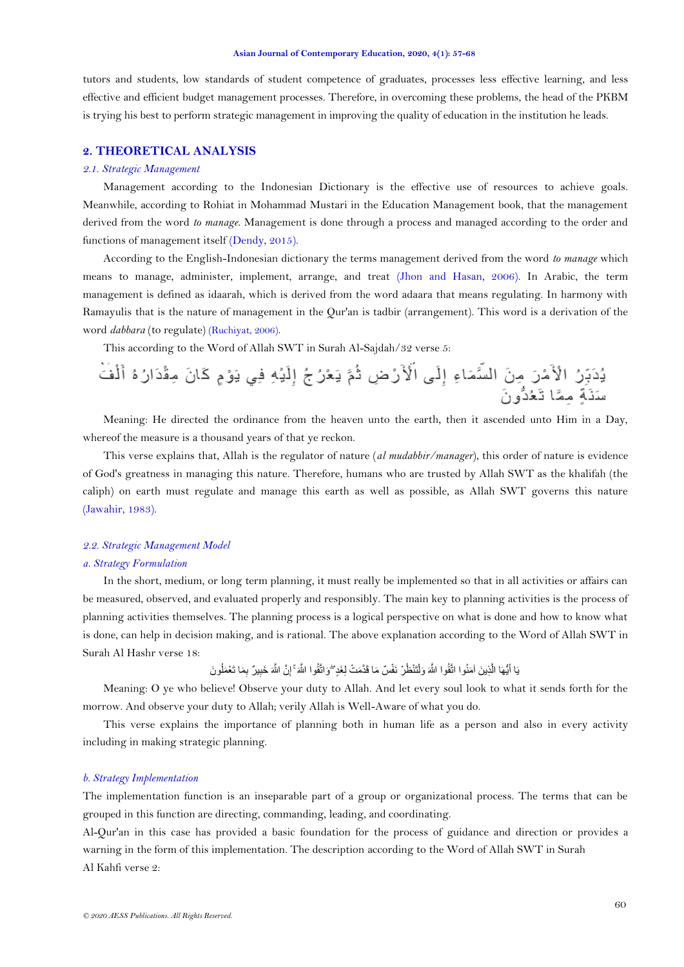tutors and students, low standards of student competence of graduates, processes less effective learning, and less effective and efficient budget management processes. Therefore, in overcoming these problems, the head of the PKBM is trying his best to perform strategic management in improving the quality of education in the institution he leads.

# **2. THEORETICAL ANALYSIS**

#### *2.1. Strategic Management*

Management according to the Indonesian Dictionary is the effective use of resources to achieve goals. Meanwhile, according to Rohiat in Mohammad Mustari in the Education Management book, that the management derived from the word *to manage*. Management is done through a process and managed according to the order and functions of management itself [\(Dendy, 2015\)](#page-11-1).

According to the English-Indonesian dictionary the terms management derived from the word *to manage* which means to manage, administer, implement, arrange, and treat [\(Jhon and Hasan, 2006\)](#page-11-2). In Arabic, the term management is defined as idaarah, which is derived from the word adaara that means regulating. In harmony with Ramayulis that is the nature of management in the Qur'an is tadbir (arrangement). This word is a derivation of the word *dabbara* (to regulate) [\(Ruchiyat, 2006\)](#page-11-3).

This according to the Word of Allah SWT in Surah Al-Sajdah/32 verse 5:

Meaning: He directed the ordinance from the heaven unto the earth, then it ascended unto Him in a Day, whereof the measure is a thousand years of that ye reckon.

This verse explains that, Allah is the regulator of nature (*al mudabbir/manager*), this order of nature is evidence of God's greatness in managing this nature. Therefore, humans who are trusted by Allah SWT as the khalifah (the caliph) on earth must regulate and manage this earth as well as possible, as Allah SWT governs this nature [\(Jawahir, 1983\)](#page-11-4).

### *2.2. Strategic Management Model*

### *a. Strategy Formulation*

In the short, medium, or long term planning, it must really be implemented so that in all activities or affairs can be measured, observed, and evaluated properly and responsibly. The main key to planning activities is the process of planning activities themselves. The planning process is a logical perspective on what is done and how to know what is done, can help in decision making, and is rational. The above explanation according to the Word of Allah SWT in Surah Al Hashr verse 18:

ُى َن ِ َما تَ ْعَمل ي ٌز ب ِ َخب َّن ََّّللاَ ِ ََّّللاَۚ إ قُىا َغٍدۖ َواتَّ َم ْت لِ ٌس َما قَ َّد ْز وَفْ تَىْظُ ْ ََّّللاَ َول قُىا َمىُىا اتَّ ِذي َه آ َّ يُّهَا ال َ يَا أ

Meaning: O ye who believe! Observe your duty to Allah. And let every soul look to what it sends forth for the morrow. And observe your duty to Allah; verily Allah is Well-Aware of what you do.

This verse explains the importance of planning both in human life as a person and also in every activity including in making strategic planning.

### *b. Strategy Implementation*

The implementation function is an inseparable part of a group or organizational process. The terms that can be grouped in this function are directing, commanding, leading, and coordinating.

Al-Qur'an in this case has provided a basic foundation for the process of guidance and direction or provides a warning in the form of this implementation. The description according to the Word of Allah SWT in Surah Al Kahfi verse 2: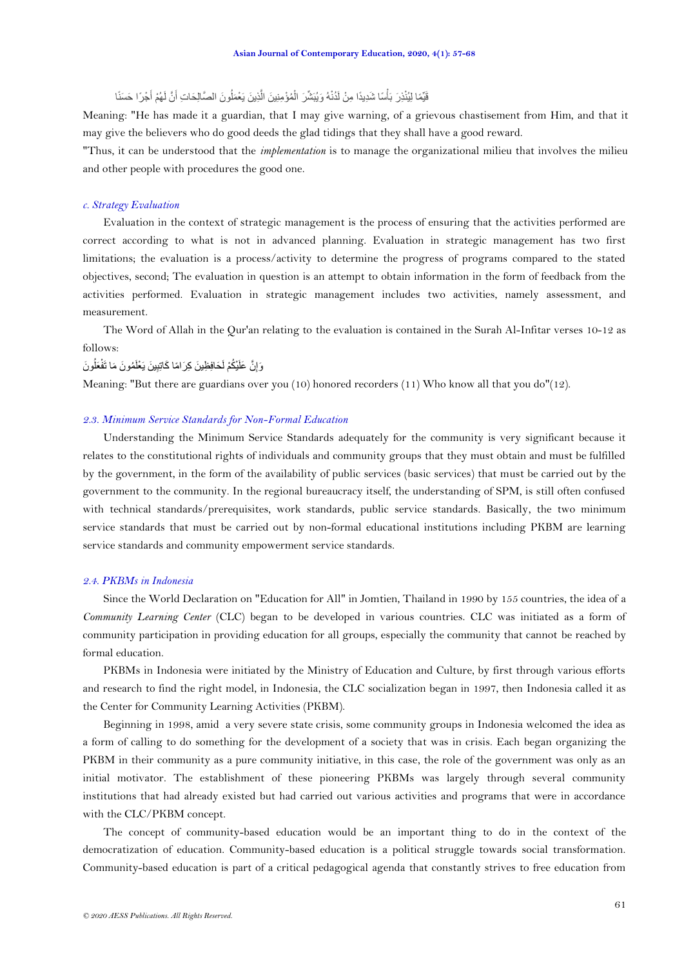فَيِّمًا لِيُنْذِرَ بَأْسًا شَدِيدًا مِنْ لَدُنْهُ وَيُبَشِّرَ الْمُؤْمِنِينَ الَّذِينَ يَعْمَلُونَ الصَّالِحَاتِ أَنَّ لَهُمْ أَجْرًا حَسَنًا َ َ َّ ْ

Meaning: "He has made it a guardian, that I may give warning, of a grievous chastisement from Him, and that it may give the believers who do good deeds the glad tidings that they shall have a good reward.

"Thus, it can be understood that the *implementation* is to manage the organizational milieu that involves the milieu and other people with procedures the good one.

#### *c. Strategy Evaluation*

Evaluation in the context of strategic management is the process of ensuring that the activities performed are correct according to what is not in advanced planning. Evaluation in strategic management has two first limitations; the evaluation is a process/activity to determine the progress of programs compared to the stated objectives, second; The evaluation in question is an attempt to obtain information in the form of feedback from the activities performed. Evaluation in strategic management includes two activities, namely assessment, and measurement.

The Word of Allah in the Qur'an relating to the evaluation is contained in the Surah Al-Infitar verses 10-12 as follows:

وَإِنَّ عَلَيْكُمْ لَحَافِظِينَ كِرَامًا كَاتِبِينَ يَعْلَمُونَ مَا تَفْعَلُونَ ِ l,

Meaning: "But there are guardians over you (10) honored recorders (11) Who know all that you do"(12).

## *2.3. Minimum Service Standards for Non-Formal Education*

Understanding the Minimum Service Standards adequately for the community is very significant because it relates to the constitutional rights of individuals and community groups that they must obtain and must be fulfilled by the government, in the form of the availability of public services (basic services) that must be carried out by the government to the community. In the regional bureaucracy itself, the understanding of SPM, is still often confused with technical standards/prerequisites, work standards, public service standards. Basically, the two minimum service standards that must be carried out by non-formal educational institutions including PKBM are learning service standards and community empowerment service standards.

#### *2.4. PKBMs in Indonesia*

Since the World Declaration on "Education for All" in Jomtien, Thailand in 1990 by 155 countries, the idea of a *Community Learning Center* (CLC) began to be developed in various countries. CLC was initiated as a form of community participation in providing education for all groups, especially the community that cannot be reached by formal education.

PKBMs in Indonesia were initiated by the Ministry of Education and Culture, by first through various efforts and research to find the right model, in Indonesia, the CLC socialization began in 1997, then Indonesia called it as the Center for Community Learning Activities (PKBM).

Beginning in 1998, amid a very severe state crisis, some community groups in Indonesia welcomed the idea as a form of calling to do something for the development of a society that was in crisis. Each began organizing the PKBM in their community as a pure community initiative, in this case, the role of the government was only as an initial motivator. The establishment of these pioneering PKBMs was largely through several community institutions that had already existed but had carried out various activities and programs that were in accordance with the CLC/PKBM concept.

The concept of community-based education would be an important thing to do in the context of the democratization of education. Community-based education is a political struggle towards social transformation. Community-based education is part of a critical pedagogical agenda that constantly strives to free education from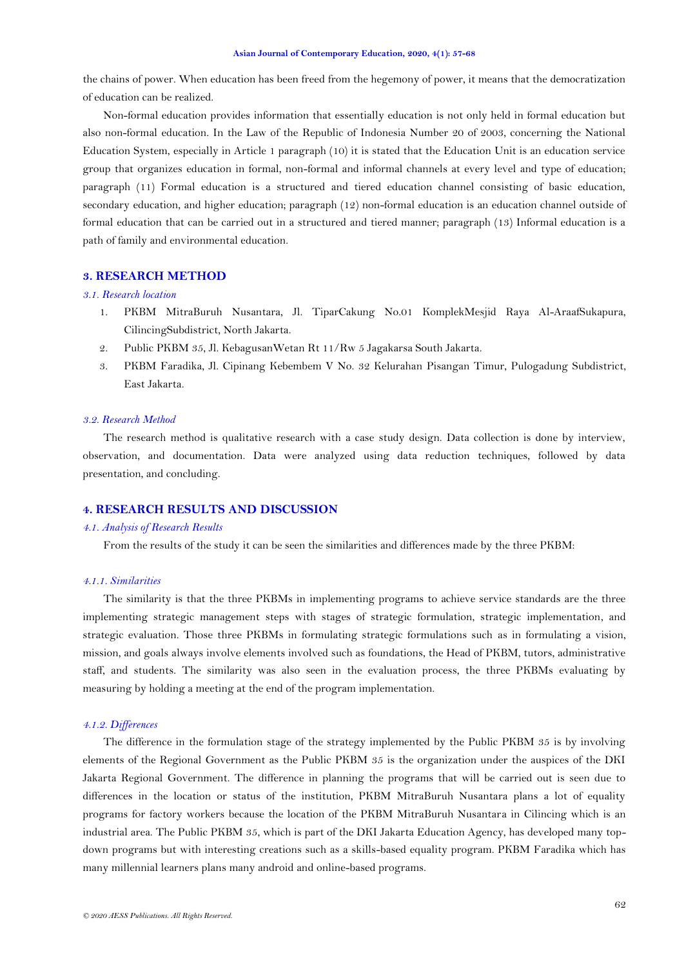the chains of power. When education has been freed from the hegemony of power, it means that the democratization of education can be realized.

Non-formal education provides information that essentially education is not only held in formal education but also non-formal education. In the Law of the Republic of Indonesia Number 20 of 2003, concerning the National Education System, especially in Article 1 paragraph (10) it is stated that the Education Unit is an education service group that organizes education in formal, non-formal and informal channels at every level and type of education; paragraph (11) Formal education is a structured and tiered education channel consisting of basic education, secondary education, and higher education; paragraph (12) non-formal education is an education channel outside of formal education that can be carried out in a structured and tiered manner; paragraph (13) Informal education is a path of family and environmental education.

## **3. RESEARCH METHOD**

## *3.1. Research location*

- 1. PKBM MitraBuruh Nusantara, Jl. TiparCakung No.01 KomplekMesjid Raya Al-AraafSukapura, CilincingSubdistrict, North Jakarta.
- 2. Public PKBM 35, Jl. KebagusanWetan Rt 11/Rw 5 Jagakarsa South Jakarta.
- 3. PKBM Faradika, Jl. Cipinang Kebembem V No. 32 Kelurahan Pisangan Timur, Pulogadung Subdistrict, East Jakarta.

### *3.2. Research Method*

The research method is qualitative research with a case study design. Data collection is done by interview, observation, and documentation. Data were analyzed using data reduction techniques, followed by data presentation, and concluding.

## **4. RESEARCH RESULTS AND DISCUSSION**

#### *4.1. Analysis of Research Results*

From the results of the study it can be seen the similarities and differences made by the three PKBM:

#### *4.1.1. Similarities*

The similarity is that the three PKBMs in implementing programs to achieve service standards are the three implementing strategic management steps with stages of strategic formulation, strategic implementation, and strategic evaluation. Those three PKBMs in formulating strategic formulations such as in formulating a vision, mission, and goals always involve elements involved such as foundations, the Head of PKBM, tutors, administrative staff, and students. The similarity was also seen in the evaluation process, the three PKBMs evaluating by measuring by holding a meeting at the end of the program implementation.

### *4.1.2. Differences*

The difference in the formulation stage of the strategy implemented by the Public PKBM 35 is by involving elements of the Regional Government as the Public PKBM 35 is the organization under the auspices of the DKI Jakarta Regional Government. The difference in planning the programs that will be carried out is seen due to differences in the location or status of the institution, PKBM MitraBuruh Nusantara plans a lot of equality programs for factory workers because the location of the PKBM MitraBuruh Nusantara in Cilincing which is an industrial area. The Public PKBM 35, which is part of the DKI Jakarta Education Agency, has developed many topdown programs but with interesting creations such as a skills-based equality program. PKBM Faradika which has many millennial learners plans many android and online-based programs.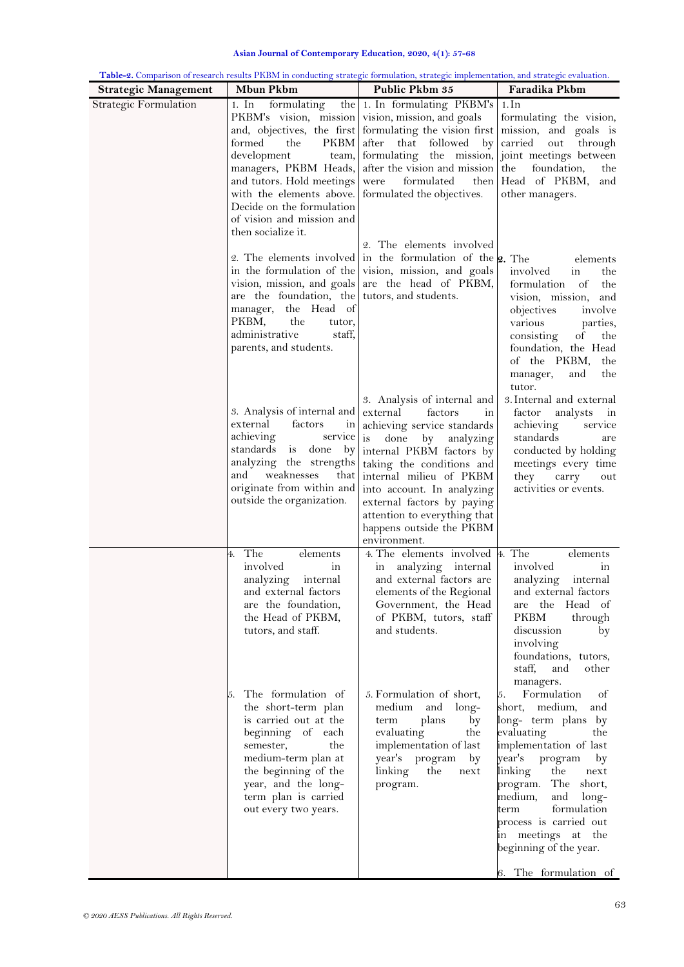| Asian Journal of Contemporary Education, 2020, 4(1): 57-68 |
|------------------------------------------------------------|
|------------------------------------------------------------|

|                             |                                                                                                                                                                                                                                                                                                                                                       | Table-2. Comparison of research results PKBM in conducting strategic formulation, strategic implementation, and strategic evaluation.                                                                                                                                                                                                                                         |                                                                                                                                                                                                                                                                                                                                                                                                                                       |  |  |
|-----------------------------|-------------------------------------------------------------------------------------------------------------------------------------------------------------------------------------------------------------------------------------------------------------------------------------------------------------------------------------------------------|-------------------------------------------------------------------------------------------------------------------------------------------------------------------------------------------------------------------------------------------------------------------------------------------------------------------------------------------------------------------------------|---------------------------------------------------------------------------------------------------------------------------------------------------------------------------------------------------------------------------------------------------------------------------------------------------------------------------------------------------------------------------------------------------------------------------------------|--|--|
| <b>Strategic Management</b> | <b>Mbun Pkbm</b>                                                                                                                                                                                                                                                                                                                                      | Public Pkbm 35                                                                                                                                                                                                                                                                                                                                                                | Faradika Pkbm                                                                                                                                                                                                                                                                                                                                                                                                                         |  |  |
| Strategic Formulation       | formulating<br>1. In<br>PKBM's vision, mission vision, mission, and goals<br>formed<br>the<br>development<br>and tutors. Hold meetings were<br>with the elements above. formulated the objectives.<br>Decide on the formulation<br>of vision and mission and<br>then socialize it.                                                                    | the 1. In formulating PKBM's<br>and, objectives, the first formulating the vision first mission, and goals is<br>PKBM after that followed<br>$-{\rm b}v$<br>team, formulating the mission, joint meetings between<br>managers, PKBM Heads, after the vision and mission<br>formulated<br>then                                                                                 | 1. In<br>formulating the vision,<br>carried<br>out<br>through<br>the<br>foundation,<br>the<br>Head of PKBM,<br>and<br>other managers.                                                                                                                                                                                                                                                                                                 |  |  |
|                             | are the foundation, the tutors, and students.<br>manager, the Head of<br>PKBM,<br>the<br>tutor,<br>administrative<br>staff,<br>parents, and students.                                                                                                                                                                                                 | 2. The elements involved<br>2. The elements involved in the formulation of the $\mathbf{2.}$ The<br>in the formulation of the vision, mission, and goals<br>vision, mission, and goals are the head of PKBM,                                                                                                                                                                  | elements<br>involved<br>in<br>the<br>formulation<br>of<br>the<br>vision, mission,<br>and<br>objectives<br>involve<br>various<br>parties,<br>consisting<br>of<br>the<br>foundation, the Head<br>of the PKBM,<br>the<br>manager,<br>the<br>and<br>tutor.                                                                                                                                                                                |  |  |
|                             | 3. Analysis of internal and<br>external<br>factors<br>ın<br>achieving<br>service<br>standards is done<br>by <sub>l</sub><br>analyzing the strengths<br>and<br>weaknesses<br>that<br>originate from within and<br>outside the organization.                                                                                                            | 3. Analysis of internal and<br>external<br>factors<br>in<br>achieving service standards<br>done<br>is<br>by analyzing<br>internal PKBM factors by<br>taking the conditions and<br>internal milieu of PKBM<br>into account. In analyzing<br>external factors by paying<br>attention to everything that<br>happens outside the PKBM<br>environment.                             | 3. Internal and external<br>factor<br>analysts<br>ın<br>achieving<br>service<br>standards<br>are<br>conducted by holding<br>meetings every time<br>they<br>carry<br>out<br>activities or events.                                                                                                                                                                                                                                      |  |  |
|                             | The<br>elements<br>4.<br>involved<br>in<br>analyzing<br>internal<br>and external factors<br>are the foundation,<br>the Head of PKBM,<br>tutors, and staff.<br>The formulation of<br>5.<br>the short-term plan<br>is carried out at the<br>beginning of each<br>semester,<br>the<br>medium-term plan at<br>the beginning of the<br>year, and the long- | 4. The elements involved 4. The<br>analyzing internal<br>in<br>and external factors are<br>elements of the Regional<br>Government, the Head<br>of PKBM, tutors, staff<br>and students.<br>5. Formulation of short,<br>medium and<br>long-<br>plans<br>term<br>by<br>evaluating<br>the<br>implementation of last<br>year's program<br>by<br>linking<br>the<br>next<br>program. | elements<br>involved<br>in<br>analyzing<br>internal<br>and external factors<br>are the Head of<br>PKBM<br>through<br>discussion<br>by<br>involving<br>foundations, tutors,<br>staff,<br>and<br>other<br>managers.<br>Formulation<br>5.<br><sub>of</sub><br>medium,<br>short,<br>and<br>long- term plans by<br>evaluating<br>the<br>implementation of last<br>year's program<br>by<br>linking<br>the<br>next<br>program. The<br>short, |  |  |
|                             | term plan is carried<br>out every two years.                                                                                                                                                                                                                                                                                                          |                                                                                                                                                                                                                                                                                                                                                                               | medium,<br>and<br>$long-$<br>formulation<br>term<br>process is carried out<br>in meetings at the<br>beginning of the year.<br>6. The formulation of                                                                                                                                                                                                                                                                                   |  |  |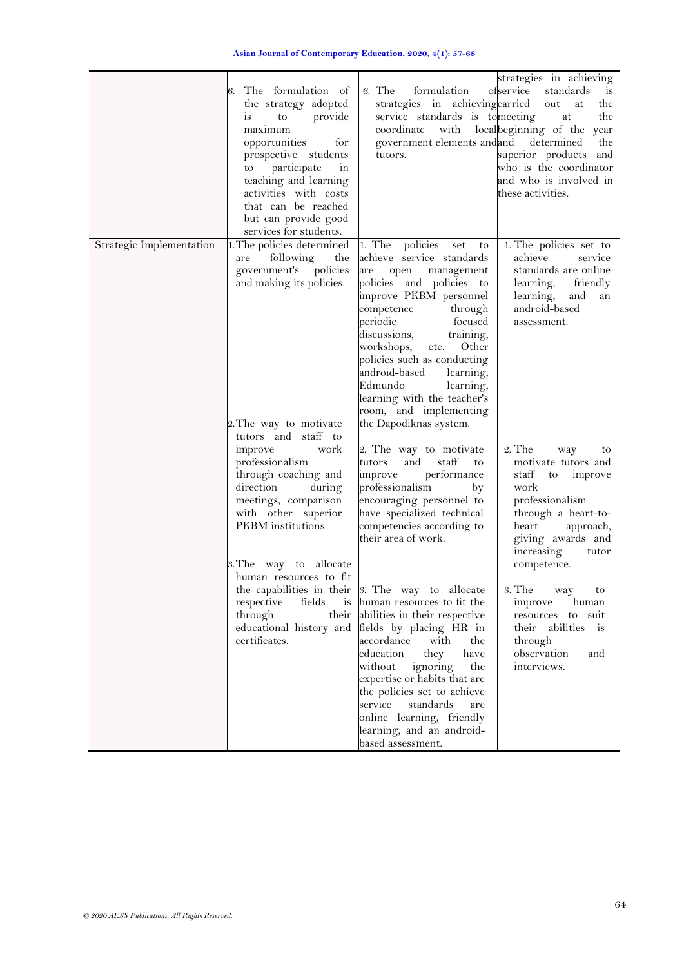|                          | The formulation of<br>6.<br>the strategy adopted<br>to provide<br>is<br>maximum<br>opportunities<br>for<br>prospective students<br>to participate<br>in<br>teaching and learning<br>activities with costs<br>that can be reached<br>but can provide good<br>services for students. | 6. The<br>formulation<br>strategies in achievingcarried<br>service standards is to meeting<br>coordinate with<br>government elements and and<br>tutors.                                                                                                                                                                                                                                                                         | strategies in achieving<br>ofservice<br>standards<br>$\frac{1}{1}$<br>out<br>the<br>at<br>the<br>at<br>local beginning of the year<br>determined<br>the<br>superior products and<br>who is the coordinator<br>and who is involved in<br>these activities. |
|--------------------------|------------------------------------------------------------------------------------------------------------------------------------------------------------------------------------------------------------------------------------------------------------------------------------|---------------------------------------------------------------------------------------------------------------------------------------------------------------------------------------------------------------------------------------------------------------------------------------------------------------------------------------------------------------------------------------------------------------------------------|-----------------------------------------------------------------------------------------------------------------------------------------------------------------------------------------------------------------------------------------------------------|
| Strategic Implementation | . The policies determined<br>following<br>the<br>are<br>government's policies<br>and making its policies.<br>2. The way to motivate<br>tutors and staff to                                                                                                                         | 1. The policies<br>set<br>to<br>achieve service standards<br>are open<br>management<br>policies and policies to<br>improve PKBM personnel<br>competence<br>through<br>periodic<br>focused<br>discussions,<br>training,<br>workshops,<br>etc. Other<br>policies such as conducting<br>android-based<br>learning,<br>learning,<br>Edmundo<br>learning with the teacher's<br>room, and implementing<br>the Dapodiknas system.      | 1. The policies set to<br>achieve<br>service<br>standards are online<br>learning, friendly<br>learning,<br>and<br>an<br>android-based<br>assessment.                                                                                                      |
|                          | improve<br>work<br>professionalism<br>through coaching and<br>direction<br>during<br>meetings, comparison<br>with other superior<br>PKBM institutions.<br>3. The way to allocate<br>human resources to fit                                                                         | 2. The way to motivate<br>staff<br>tutors<br>and<br>to<br>performance<br>improve<br>professionalism<br>by<br>encouraging personnel to<br>have specialized technical<br>competencies according to<br>their area of work.                                                                                                                                                                                                         | $2.$ The<br>way<br>to<br>motivate tutors and<br>staff<br>to improve<br>work<br>professionalism<br>through a heart-to-<br>heart approach,<br>giving awards and<br>increasing<br>tutor<br>competence.                                                       |
|                          | respective<br>through<br>educational history and<br>certificates.                                                                                                                                                                                                                  | the capabilities in their 3. The way to allocate<br>fields is human resources to fit the<br>their abilities in their respective<br>fields by placing HR in<br>accordance<br>with<br>the<br>education<br>they<br>have<br>without<br>ignoring<br>the<br>expertise or habits that are<br>the policies set to achieve<br>service<br>standards<br>are<br>online learning, friendly<br>learning, and an android-<br>based assessment. | 3. The<br>way<br>to<br>human<br>improve<br>resources to suit<br>their abilities is<br>through<br>observation<br>and<br>interviews.                                                                                                                        |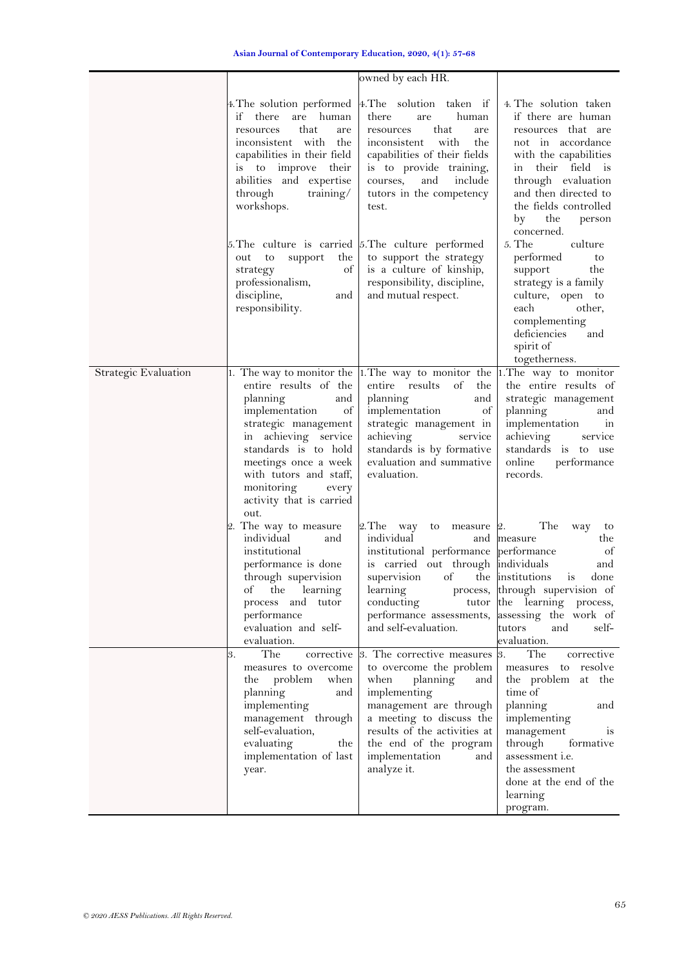|                      |                                                                                                                                                                                                                                                       | owned by each HR.                                                                                                                                                                                                                                                                              |                                                                                                                                                                                                                                                                            |
|----------------------|-------------------------------------------------------------------------------------------------------------------------------------------------------------------------------------------------------------------------------------------------------|------------------------------------------------------------------------------------------------------------------------------------------------------------------------------------------------------------------------------------------------------------------------------------------------|----------------------------------------------------------------------------------------------------------------------------------------------------------------------------------------------------------------------------------------------------------------------------|
|                      | if<br>there<br>are human<br>that<br>resources<br>are<br>inconsistent with the<br>capabilities in their field<br>is to improve their<br>abilities and expertise<br>through<br>training/<br>workshops.                                                  | 4. The solution performed 4. The solution taken if<br>human<br>there<br>are<br>that<br>resources<br>are<br>inconsistent<br>with<br>the<br>capabilities of their fields<br>is to provide training,<br>courses,<br>and<br>include<br>tutors in the competency<br>test.                           | 4. The solution taken<br>if there are human<br>resources that are<br>not in accordance<br>with the capabilities<br>in their field is<br>through evaluation<br>and then directed to<br>the fields controlled<br>the<br>by<br>person<br>concerned.                           |
|                      | 5. The culture is carried 5. The culture performed<br>out<br>to<br>support<br>the<br>of<br>strategy<br>professionalism,<br>discipline,<br>and<br>responsibility.                                                                                      | to support the strategy<br>is a culture of kinship,<br>responsibility, discipline,<br>and mutual respect.                                                                                                                                                                                      | $5.$ The<br>culture<br>performed<br>to<br>support<br>the<br>strategy is a family<br>culture, open to<br>each<br>other,<br>complementing<br>deficiencies<br>and<br>spirit of<br>togetherness.                                                                               |
| Strategic Evaluation | entire results of the<br>planning<br>and<br>implementation<br>of<br>strategic management<br>in achieving service<br>standards is to hold<br>meetings once a week<br>with tutors and staff,<br>monitoring<br>every<br>activity that is carried<br>out. | 1. The way to monitor the $\vert$ 1. The way to monitor the $\vert$ 1. The way to monitor<br>entire results<br>of<br>the<br>planning<br>and<br>implementation<br>of<br>strategic management in<br>achieving<br>service<br>standards is by formative<br>evaluation and summative<br>evaluation. | the entire results of<br>strategic management<br>planning<br>and<br>implementation<br>in<br>achieving<br>service<br>standards is to use<br>online<br>performance<br>records.                                                                                               |
|                      | 2. The way to measure<br>individual<br>and<br>institutional<br>performance is done<br>through supervision<br>of the learning<br>process and tutor<br>performance<br>evaluation and self-<br>evaluation.                                               | 2. The way to measure 2.<br>individual<br>institutional performance performance<br>is carried out through individuals<br>supervision<br>of<br>learning<br>conducting<br>performance assessments,<br>and self-evaluation.                                                                       | The<br>way<br>to<br>the<br>and measure<br>of<br>and<br>the institutions<br>done<br>1S<br>process, through supervision of<br>tutor the learning process,<br>assessing the work of<br>tutors<br>and<br>self-<br>evaluation.                                                  |
|                      | The<br>3.<br>measures to overcome<br>problem<br>when<br>the<br>planning<br>and<br>implementing<br>management through<br>self-evaluation,<br>evaluating<br>the<br>implementation of last<br>year.                                                      | corrective 8. The corrective measures<br>to overcome the problem<br>planning<br>when<br>and  <br>implementing<br>management are through<br>a meeting to discuss the<br>results of the activities at<br>the end of the program<br>implementation<br>and<br>analyze it.                          | The<br>corrective<br>3.<br>resolve<br>measures to<br>the problem at the<br>time of<br>planning<br>and<br>implementing<br>management<br><sub>1s</sub><br>through<br>formative<br>assessment <i>i.e.</i><br>the assessment<br>done at the end of the<br>learning<br>program. |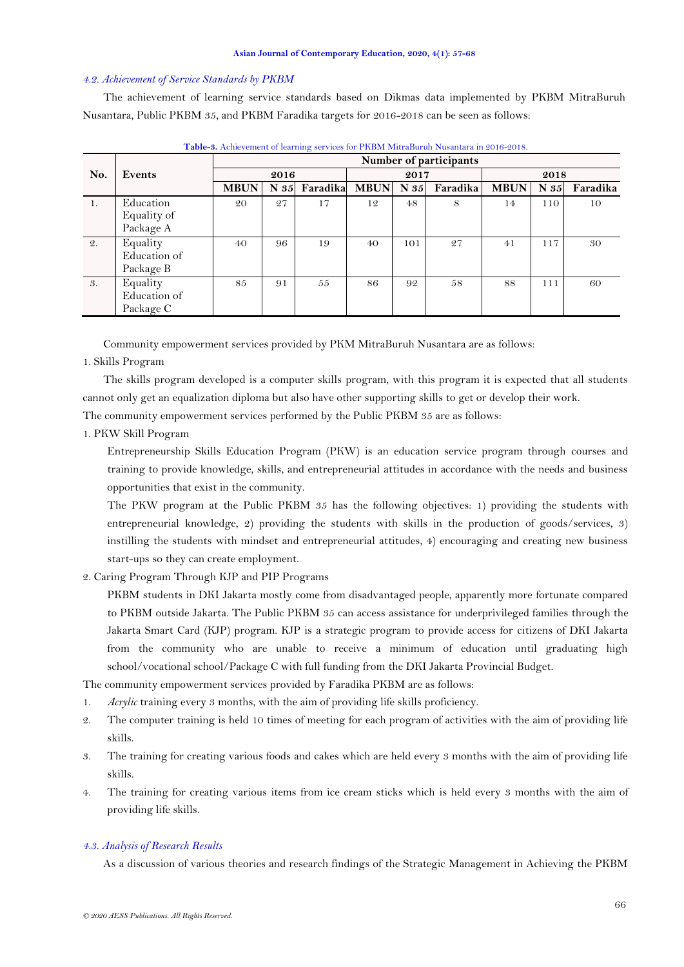#### *4.2. Achievement of Service Standards by PKBM*

The achievement of learning service standards based on Dikmas data implemented by PKBM MitraBuruh Nusantara, Public PKBM 35, and PKBM Faradika targets for 2016-2018 can be seen as follows:

|     |              | Number of participants |          |          |             |      |          |             |      |          |
|-----|--------------|------------------------|----------|----------|-------------|------|----------|-------------|------|----------|
| No. | Events       | 2016                   |          | 2017     |             | 2018 |          |             |      |          |
|     |              | <b>MBUN</b>            | $N_{35}$ | Faradika | <b>MBUN</b> | N 35 | Faradika | <b>MBUN</b> | N 35 | Faradika |
| -1. | Education    | 20                     | 27       | 17       | 12          | 48   | 8        | 14          | 110  | 10       |
|     | Equality of  |                        |          |          |             |      |          |             |      |          |
|     | Package A    |                        |          |          |             |      |          |             |      |          |
| 2.  | Equality     | 40                     | 96       | 19       | 40          | 101  | 27       | 41          | 117  | 30       |
|     | Education of |                        |          |          |             |      |          |             |      |          |
|     | Package B    |                        |          |          |             |      |          |             |      |          |
| 3.  | Equality     | 85                     | 91       | 55       | 86          | 92   | 58       | 88          | 111  | 60       |
|     | Education of |                        |          |          |             |      |          |             |      |          |
|     | Package C    |                        |          |          |             |      |          |             |      |          |

**Table-3.** Achievement of learning services for PKBM MitraBuruh Nusantara in 2016-2018.

Community empowerment services provided by PKM MitraBuruh Nusantara are as follows:

## 1. Skills Program

The skills program developed is a computer skills program, with this program it is expected that all students cannot only get an equalization diploma but also have other supporting skills to get or develop their work.

The community empowerment services performed by the Public PKBM 35 are as follows:

# 1. PKW Skill Program

Entrepreneurship Skills Education Program (PKW) is an education service program through courses and training to provide knowledge, skills, and entrepreneurial attitudes in accordance with the needs and business opportunities that exist in the community.

The PKW program at the Public PKBM 35 has the following objectives: 1) providing the students with entrepreneurial knowledge, 2) providing the students with skills in the production of goods/services, 3) instilling the students with mindset and entrepreneurial attitudes, 4) encouraging and creating new business start-ups so they can create employment.

# 2. Caring Program Through KJP and PIP Programs

PKBM students in DKI Jakarta mostly come from disadvantaged people, apparently more fortunate compared to PKBM outside Jakarta. The Public PKBM 35 can access assistance for underprivileged families through the Jakarta Smart Card (KJP) program. KJP is a strategic program to provide access for citizens of DKI Jakarta from the community who are unable to receive a minimum of education until graduating high school/vocational school/Package C with full funding from the DKI Jakarta Provincial Budget.

The community empowerment services provided by Faradika PKBM are as follows:

- 1. *Acrylic* training every 3 months, with the aim of providing life skills proficiency.
- 2. The computer training is held 10 times of meeting for each program of activities with the aim of providing life skills.
- 3. The training for creating various foods and cakes which are held every 3 months with the aim of providing life skills.
- 4. The training for creating various items from ice cream sticks which is held every 3 months with the aim of providing life skills.

#### *4.3. Analysis of Research Results*

As a discussion of various theories and research findings of the Strategic Management in Achieving the PKBM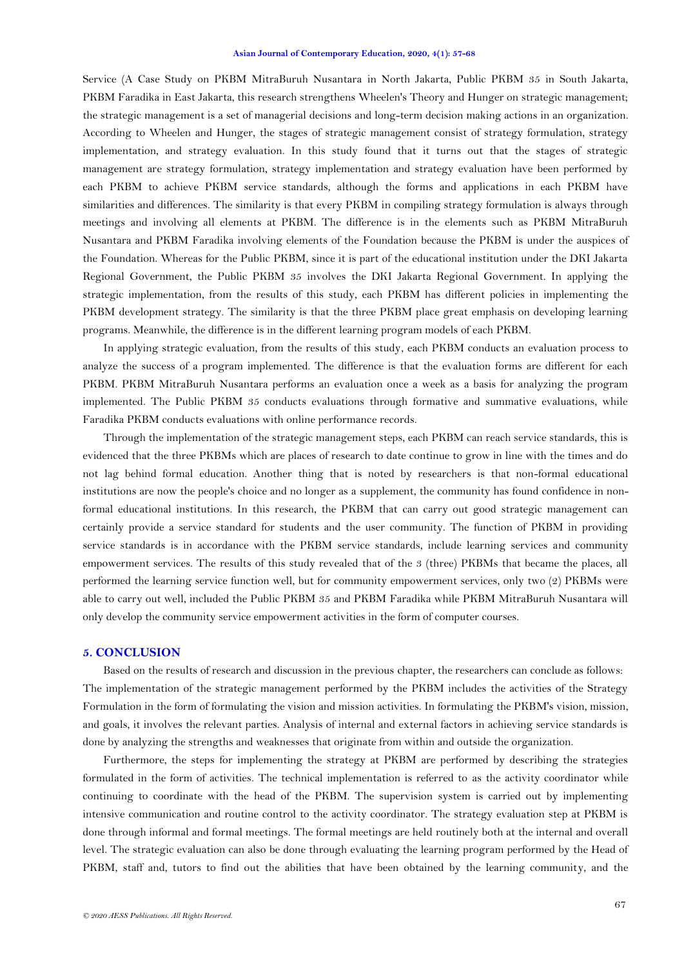Service (A Case Study on PKBM MitraBuruh Nusantara in North Jakarta, Public PKBM 35 in South Jakarta, PKBM Faradika in East Jakarta, this research strengthens Wheelen's Theory and Hunger on strategic management; the strategic management is a set of managerial decisions and long-term decision making actions in an organization. According to Wheelen and Hunger, the stages of strategic management consist of strategy formulation, strategy implementation, and strategy evaluation. In this study found that it turns out that the stages of strategic management are strategy formulation, strategy implementation and strategy evaluation have been performed by each PKBM to achieve PKBM service standards, although the forms and applications in each PKBM have similarities and differences. The similarity is that every PKBM in compiling strategy formulation is always through meetings and involving all elements at PKBM. The difference is in the elements such as PKBM MitraBuruh Nusantara and PKBM Faradika involving elements of the Foundation because the PKBM is under the auspices of the Foundation. Whereas for the Public PKBM, since it is part of the educational institution under the DKI Jakarta Regional Government, the Public PKBM 35 involves the DKI Jakarta Regional Government. In applying the strategic implementation, from the results of this study, each PKBM has different policies in implementing the PKBM development strategy. The similarity is that the three PKBM place great emphasis on developing learning programs. Meanwhile, the difference is in the different learning program models of each PKBM.

In applying strategic evaluation, from the results of this study, each PKBM conducts an evaluation process to analyze the success of a program implemented. The difference is that the evaluation forms are different for each PKBM. PKBM MitraBuruh Nusantara performs an evaluation once a week as a basis for analyzing the program implemented. The Public PKBM 35 conducts evaluations through formative and summative evaluations, while Faradika PKBM conducts evaluations with online performance records.

Through the implementation of the strategic management steps, each PKBM can reach service standards, this is evidenced that the three PKBMs which are places of research to date continue to grow in line with the times and do not lag behind formal education. Another thing that is noted by researchers is that non-formal educational institutions are now the people's choice and no longer as a supplement, the community has found confidence in nonformal educational institutions. In this research, the PKBM that can carry out good strategic management can certainly provide a service standard for students and the user community. The function of PKBM in providing service standards is in accordance with the PKBM service standards, include learning services and community empowerment services. The results of this study revealed that of the 3 (three) PKBMs that became the places, all performed the learning service function well, but for community empowerment services, only two (2) PKBMs were able to carry out well, included the Public PKBM 35 and PKBM Faradika while PKBM MitraBuruh Nusantara will only develop the community service empowerment activities in the form of computer courses.

### **5. CONCLUSION**

Based on the results of research and discussion in the previous chapter, the researchers can conclude as follows: The implementation of the strategic management performed by the PKBM includes the activities of the Strategy Formulation in the form of formulating the vision and mission activities. In formulating the PKBM's vision, mission, and goals, it involves the relevant parties. Analysis of internal and external factors in achieving service standards is done by analyzing the strengths and weaknesses that originate from within and outside the organization.

Furthermore, the steps for implementing the strategy at PKBM are performed by describing the strategies formulated in the form of activities. The technical implementation is referred to as the activity coordinator while continuing to coordinate with the head of the PKBM. The supervision system is carried out by implementing intensive communication and routine control to the activity coordinator. The strategy evaluation step at PKBM is done through informal and formal meetings. The formal meetings are held routinely both at the internal and overall level. The strategic evaluation can also be done through evaluating the learning program performed by the Head of PKBM, staff and, tutors to find out the abilities that have been obtained by the learning community, and the